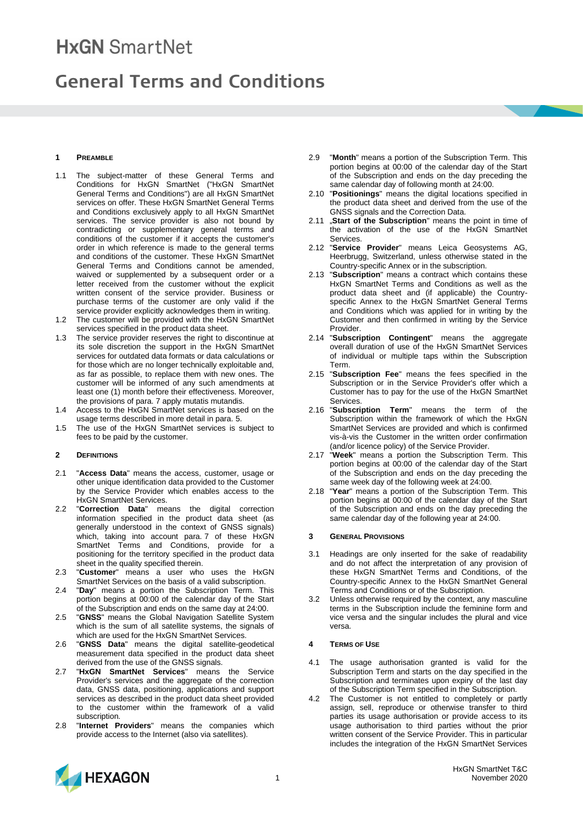# **HxGN** SmartNet

## **General Terms and Conditions**

## **1 PREAMBLE**

- 1.1 The subject-matter of these General Terms and Conditions for HxGN SmartNet ("HxGN SmartNet General Terms and Conditions") are all HxGN SmartNet services on offer. These HxGN SmartNet General Terms and Conditions exclusively apply to all HxGN SmartNet services. The service provider is also not bound by contradicting or supplementary general terms and conditions of the customer if it accepts the customer's order in which reference is made to the general terms and conditions of the customer. These HxGN SmartNet General Terms and Conditions cannot be amended, waived or supplemented by a subsequent order or a letter received from the customer without the explicit written consent of the service provider. Business or purchase terms of the customer are only valid if the service provider explicitly acknowledges them in writing.
- 1.2 The customer will be provided with the HxGN SmartNet services specified in the product data sheet.
- 1.3 The service provider reserves the right to discontinue at its sole discretion the support in the HxGN SmartNet services for outdated data formats or data calculations or for those which are no longer technically exploitable and, as far as possible, to replace them with new ones. The customer will be informed of any such amendments at least one (1) month before their effectiveness. Moreover, the provisions of para. 7 apply mutatis mutandis.
- 1.4 Access to the HxGN SmartNet services is based on the usage terms described in more detail in para. 5.
- 1.5 The use of the HxGN SmartNet services is subject to fees to be paid by the customer.

## **2 DEFINITIONS**

- 2.1 "**Access Data**" means the access, customer, usage or other unique identification data provided to the Customer by the Service Provider which enables access to the HxGN SmartNet Services.
- 2.2 "**Correction Data**" means the digital correction information specified in the product data sheet (as generally understood in the context of GNSS signals) which, taking into account para. 7 of these HxGN SmartNet Terms and Conditions, provide for a positioning for the territory specified in the product data sheet in the quality specified therein.
- 2.3 "**Customer**" means a user who uses the HxGN SmartNet Services on the basis of a valid subscription.
- 2.4 "**Day**" means a portion the Subscription Term. This portion begins at 00:00 of the calendar day of the Start of the Subscription and ends on the same day at 24:00.
- 2.5 "**GNSS**" means the Global Navigation Satellite System which is the sum of all satellite systems, the signals of which are used for the HxGN SmartNet Services.
- 2.6 "**GNSS Data**" means the digital satellite-geodetical measurement data specified in the product data sheet derived from the use of the GNSS signals.
- 2.7 "**HxGN SmartNet Services**" means the Service Provider's services and the aggregate of the correction data, GNSS data, positioning, applications and support services as described in the product data sheet provided to the customer within the framework of a valid subscription.
- 2.8 "**Internet Providers**" means the companies which provide access to the Internet (also via satellites).
- 2.9 "**Month**" means a portion of the Subscription Term. This portion begins at 00:00 of the calendar day of the Start of the Subscription and ends on the day preceding the same calendar day of following month at 24:00.
- 2.10 "**Positionings**" means the digital locations specified in the product data sheet and derived from the use of the GNSS signals and the Correction Data.
- 2.11 "**Start of the Subscription**" means the point in time of the activation of the use of the HxGN SmartNet Services.
- 2.12 "**Service Provider**" means Leica Geosystems AG, Heerbrugg, Switzerland, unless otherwise stated in the Country-specific Annex or in the subscription.
- 2.13 "**Subscription**" means a contract which contains these HxGN SmartNet Terms and Conditions as well as the product data sheet and (if applicable) the Countryspecific Annex to the HxGN SmartNet General Terms and Conditions which was applied for in writing by the Customer and then confirmed in writing by the Service Provider.
- 2.14 "**Subscription Contingent**" means the aggregate overall duration of use of the HxGN SmartNet Services of individual or multiple taps within the Subscription Term.
- 2.15 "**Subscription Fee**" means the fees specified in the Subscription or in the Service Provider's offer which a Customer has to pay for the use of the HxGN SmartNet Services.
- 2.16 "**Subscription Term**" means the term of the Subscription within the framework of which the HxGN SmartNet Services are provided and which is confirmed vis-à-vis the Customer in the written order confirmation (and/or licence policy) of the Service Provider.
- 2.17 "**Week**" means a portion the Subscription Term. This portion begins at 00:00 of the calendar day of the Start of the Subscription and ends on the day preceding the same week day of the following week at 24:00.
- 2.18 "**Year**" means a portion of the Subscription Term. This portion begins at 00:00 of the calendar day of the Start of the Subscription and ends on the day preceding the same calendar day of the following year at 24:00.

## **3 GENERAL PROVISIONS**

- 3.1 Headings are only inserted for the sake of readability and do not affect the interpretation of any provision of these HxGN SmartNet Terms and Conditions, of the Country-specific Annex to the HxGN SmartNet General Terms and Conditions or of the Subscription.
- 3.2 Unless otherwise required by the context, any masculine terms in the Subscription include the feminine form and vice versa and the singular includes the plural and vice versa.

## **4 TERMS OF USE**

- 4.1 The usage authorisation granted is valid for the Subscription Term and starts on the day specified in the Subscription and terminates upon expiry of the last day of the Subscription Term specified in the Subscription.
- 4.2 The Customer is not entitled to completely or partly assign, sell, reproduce or otherwise transfer to third parties its usage authorisation or provide access to its usage authorisation to third parties without the prior written consent of the Service Provider. This in particular includes the integration of the HxGN SmartNet Services

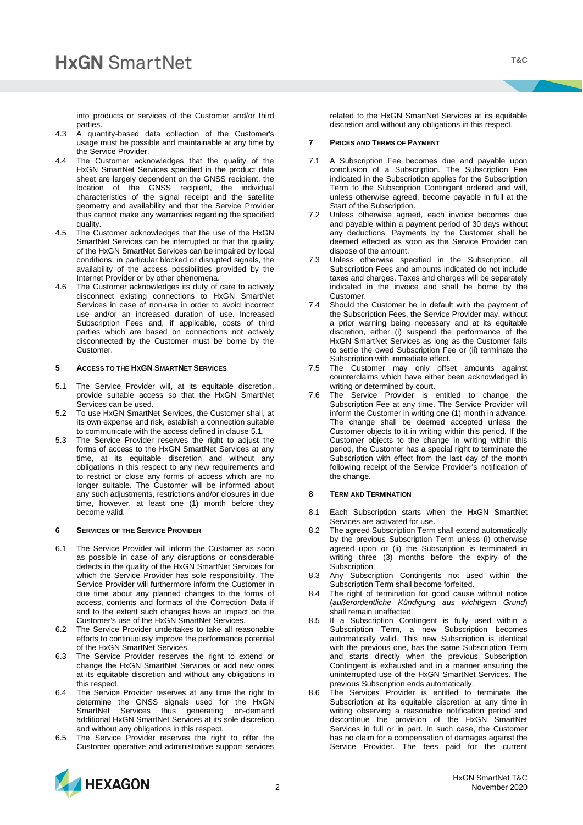into products or services of the Customer and/or third parties.

- 4.3 A quantity-based data collection of the Customer's usage must be possible and maintainable at any time by the Service Provider.
- 4.4 The Customer acknowledges that the quality of the HxGN SmartNet Services specified in the product data sheet are largely dependent on the GNSS recipient, the location of the GNSS recipient, the individual characteristics of the signal receipt and the satellite geometry and availability and that the Service Provider thus cannot make any warranties regarding the specified quality.
- 4.5 The Customer acknowledges that the use of the HxGN SmartNet Services can be interrupted or that the quality of the HxGN SmartNet Services can be impaired by local conditions, in particular blocked or disrupted signals, the availability of the access possibilities provided by the Internet Provider or by other phenomena.
- 4.6 The Customer acknowledges its duty of care to actively disconnect existing connections to HxGN SmartNet Services in case of non-use in order to avoid incorrect use and/or an increased duration of use. Increased Subscription Fees and, if applicable, costs of third parties which are based on connections not actively disconnected by the Customer must be borne by the Customer.

## **5 ACCESS TO THE HXGN SMARTNET SERVICES**

- 5.1 The Service Provider will, at its equitable discretion, provide suitable access so that the HxGN SmartNet Services can be used.
- 5.2 To use HxGN SmartNet Services, the Customer shall, at its own expense and risk, establish a connection suitable to communicate with the access defined in clause 5.1.
- 5.3 The Service Provider reserves the right to adjust the forms of access to the HxGN SmartNet Services at any time, at its equitable discretion and without any obligations in this respect to any new requirements and to restrict or close any forms of access which are no longer suitable. The Customer will be informed about any such adjustments, restrictions and/or closures in due time, however, at least one (1) month before they become valid.

## **6 SERVICES OF THE SERVICE PROVIDER**

- 6.1 The Service Provider will inform the Customer as soon as possible in case of any disruptions or considerable defects in the quality of the HxGN SmartNet Services for which the Service Provider has sole responsibility. The Service Provider will furthermore inform the Customer in due time about any planned changes to the forms of access, contents and formats of the Correction Data if and to the extent such changes have an impact on the Customer's use of the HxGN SmartNet Services.
- 6.2 The Service Provider undertakes to take all reasonable efforts to continuously improve the performance potential of the HxGN SmartNet Services.
- 6.3 The Service Provider reserves the right to extend or change the HxGN SmartNet Services or add new ones at its equitable discretion and without any obligations in this respect.
- 6.4 The Service Provider reserves at any time the right to determine the GNSS signals used for the HxGN SmartNet Services thus generating on-demand additional HxGN SmartNet Services at its sole discretion and without any obligations in this respect.
- 6.5 The Service Provider reserves the right to offer the Customer operative and administrative support services

related to the HxGN SmartNet Services at its equitable discretion and without any obligations in this respect.

#### **7 PRICES AND TERMS OF PAYMENT**

- 7.1 A Subscription Fee becomes due and payable upon conclusion of a Subscription. The Subscription Fee indicated in the Subscription applies for the Subscription Term to the Subscription Contingent ordered and will, unless otherwise agreed, become payable in full at the Start of the Subscription.
- 7.2 Unless otherwise agreed, each invoice becomes due and payable within a payment period of 30 days without any deductions. Payments by the Customer shall be deemed effected as soon as the Service Provider can dispose of the amount.
- 7.3 Unless otherwise specified in the Subscription, all Subscription Fees and amounts indicated do not include taxes and charges. Taxes and charges will be separately indicated in the invoice and shall be borne by the Customer.
- 7.4 Should the Customer be in default with the payment of the Subscription Fees, the Service Provider may, without a prior warning being necessary and at its equitable discretion, either (i) suspend the performance of the HxGN SmartNet Services as long as the Customer fails to settle the owed Subscription Fee or (ii) terminate the Subscription with immediate effect.
- 7.5 The Customer may only offset amounts against counterclaims which have either been acknowledged in writing or determined by court.
- 7.6 The Service Provider is entitled to change the Subscription Fee at any time. The Service Provider will inform the Customer in writing one (1) month in advance. The change shall be deemed accepted unless the Customer objects to it in writing within this period. If the Customer objects to the change in writing within this period, the Customer has a special right to terminate the Subscription with effect from the last day of the month following receipt of the Service Provider's notification of the change.

#### **8 TERM AND TERMINATION**

- 8.1 Each Subscription starts when the HxGN SmartNet Services are activated for use.
- 8.2 The agreed Subscription Term shall extend automatically by the previous Subscription Term unless (i) otherwise agreed upon or (ii) the Subscription is terminated in writing three (3) months before the expiry of the Subscription.
- 8.3 Any Subscription Contingents not used within the Subscription Term shall become forfeited.
- 8.4 The right of termination for good cause without notice (*außerordentliche Kündigung aus wichtigem Grund*) shall remain unaffected.
- 8.5 If a Subscription Contingent is fully used within a Subscription Term, a new Subscription becomes automatically valid. This new Subscription is identical with the previous one, has the same Subscription Term and starts directly when the previous Subscription Contingent is exhausted and in a manner ensuring the uninterrupted use of the HxGN SmartNet Services. The previous Subscription ends automatically.
- 8.6 The Services Provider is entitled to terminate the Subscription at its equitable discretion at any time in writing observing a reasonable notification period and discontinue the provision of the HxGN SmartNet Services in full or in part. In such case, the Customer has no claim for a compensation of damages against the Service Provider. The fees paid for the current

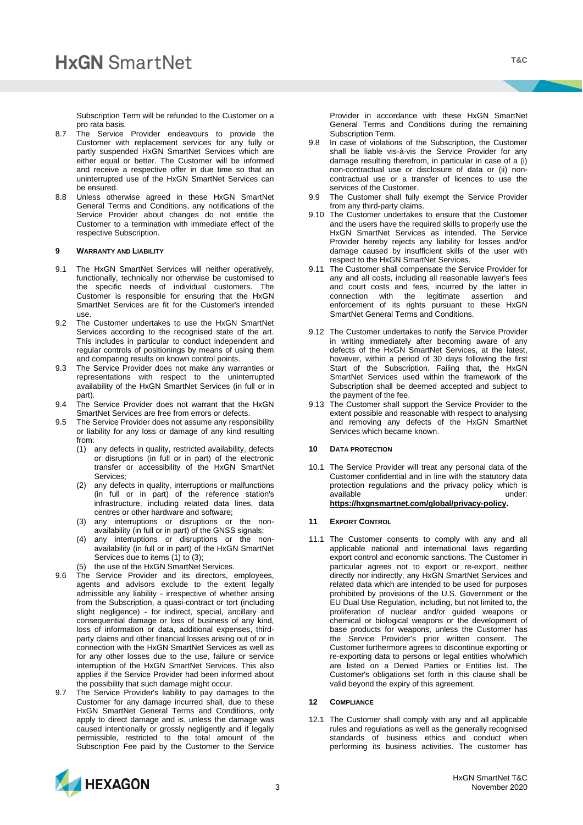Subscription Term will be refunded to the Customer on a pro rata basis.

- 8.7 The Service Provider endeavours to provide the Customer with replacement services for any fully or partly suspended HxGN SmartNet Services which are either equal or better. The Customer will be informed and receive a respective offer in due time so that an uninterrupted use of the HxGN SmartNet Services can be ensured.
- 8.8 Unless otherwise agreed in these HxGN SmartNet General Terms and Conditions, any notifications of the Service Provider about changes do not entitle the Customer to a termination with immediate effect of the respective Subscription.

## **9 WARRANTY AND LIABILITY**

- 9.1 The HxGN SmartNet Services will neither operatively, functionally, technically nor otherwise be customised to the specific needs of individual customers. The Customer is responsible for ensuring that the HxGN SmartNet Services are fit for the Customer's intended use.
- 9.2 The Customer undertakes to use the HxGN SmartNet Services according to the recognised state of the art. This includes in particular to conduct independent and regular controls of positionings by means of using them and comparing results on known control points.
- 9.3 The Service Provider does not make any warranties or representations with respect to the uninterrupted availability of the HxGN SmartNet Services (in full or in part).
- 9.4 The Service Provider does not warrant that the HxGN SmartNet Services are free from errors or defects.
- 9.5 The Service Provider does not assume any responsibility or liability for any loss or damage of any kind resulting from:
	- (1) any defects in quality, restricted availability, defects or disruptions (in full or in part) of the electronic transfer or accessibility of the HxGN SmartNet Services;
	- (2) any defects in quality, interruptions or malfunctions (in full or in part) of the reference station's infrastructure, including related data lines, data centres or other hardware and software;
	- (3) any interruptions or disruptions or the nonavailability (in full or in part) of the GNSS signals;
	- (4) any interruptions or disruptions or the nonavailability (in full or in part) of the HxGN SmartNet Services due to items (1) to (3);
	- the use of the HxGN SmartNet Services.
- 9.6 The Service Provider and its directors, employees, agents and advisors exclude to the extent legally admissible any liability - irrespective of whether arising from the Subscription, a quasi-contract or tort (including slight negligence) - for indirect, special, ancillary and consequential damage or loss of business of any kind, loss of information or data, additional expenses, thirdparty claims and other financial losses arising out of or in connection with the HxGN SmartNet Services as well as for any other losses due to the use, failure or service interruption of the HxGN SmartNet Services. This also applies if the Service Provider had been informed about the possibility that such damage might occur.
- 9.7 The Service Provider's liability to pay damages to the Customer for any damage incurred shall, due to these HxGN SmartNet General Terms and Conditions, only apply to direct damage and is, unless the damage was caused intentionally or grossly negligently and if legally permissible, restricted to the total amount of the Subscription Fee paid by the Customer to the Service

Provider in accordance with these HxGN SmartNet General Terms and Conditions during the remaining Subscription Term.

- 9.8 In case of violations of the Subscription, the Customer shall be liable vis-à-vis the Service Provider for any damage resulting therefrom, in particular in case of a (i) non-contractual use or disclosure of data or (ii) noncontractual use or a transfer of licences to use the services of the Customer.
- 9.9 The Customer shall fully exempt the Service Provider from any third-party claims.
- 9.10 The Customer undertakes to ensure that the Customer and the users have the required skills to properly use the HxGN SmartNet Services as intended. The Service Provider hereby rejects any liability for losses and/or damage caused by insufficient skills of the user with respect to the HxGN SmartNet Services.
- 9.11 The Customer shall compensate the Service Provider for any and all costs, including all reasonable lawyer's fees and court costs and fees, incurred by the latter in connection with the legitimate assertion and enforcement of its rights pursuant to these HxGN SmartNet General Terms and Conditions.
- 9.12 The Customer undertakes to notify the Service Provider in writing immediately after becoming aware of any defects of the HxGN SmartNet Services, at the latest, however, within a period of 30 days following the first Start of the Subscription. Failing that, the HxGN SmartNet Services used within the framework of the Subscription shall be deemed accepted and subject to the payment of the fee.
- 9.13 The Customer shall support the Service Provider to the extent possible and reasonable with respect to analysing and removing any defects of the HxGN SmartNet Services which became known.

## **10 DATA PROTECTION**

10.1 The Service Provider will treat any personal data of the Customer confidential and in line with the statutory data protection regulations and the privacy policy which is available under: **[https://hxgnsmartnet.com/global/privacy-policy.](https://hxgnsmartnet.com/global/privacy-policy)**

## **11 EXPORT CONTROL**

11.1 The Customer consents to comply with any and all applicable national and international laws regarding export control and economic sanctions. The Customer in particular agrees not to export or re-export, neither directly nor indirectly, any HxGN SmartNet Services and related data which are intended to be used for purposes prohibited by provisions of the U.S. Government or the EU Dual Use Regulation, including, but not limited to, the proliferation of nuclear and/or guided weapons or chemical or biological weapons or the development of base products for weapons, unless the Customer has the Service Provider's prior written consent. The Customer furthermore agrees to discontinue exporting or re-exporting data to persons or legal entities who/which are listed on a Denied Parties or Entities list. The Customer's obligations set forth in this clause shall be valid beyond the expiry of this agreement.

## **12 COMPLIANCE**

12.1 The Customer shall comply with any and all applicable rules and regulations as well as the generally recognised standards of business ethics and conduct when performing its business activities. The customer has